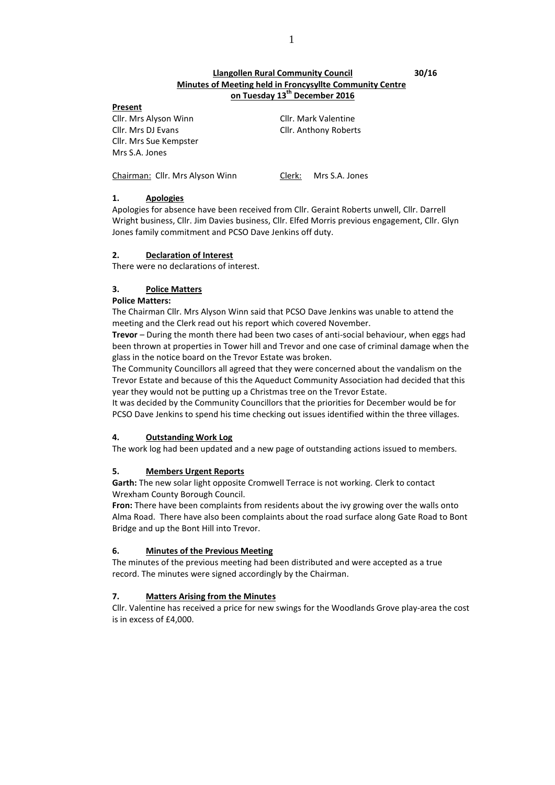# **Llangollen Rural Community Council 30/16 Minutes of Meeting held in Froncysyllte Community Centre on Tuesday 13th December 2016**

#### **Present**

Cllr. Mrs Alyson Winn Cllr. Mark Valentine Cllr. Mrs DJ Evans Cllr. Anthony Roberts Cllr. Mrs Sue Kempster Mrs S.A. Jones

Chairman: Cllr. Mrs Alyson Winn Clerk: Mrs S.A. Jones

# **1. Apologies**

Apologies for absence have been received from Cllr. Geraint Roberts unwell, Cllr. Darrell Wright business, Cllr. Jim Davies business, Cllr. Elfed Morris previous engagement, Cllr. Glyn Jones family commitment and PCSO Dave Jenkins off duty.

## **2. Declaration of Interest**

There were no declarations of interest.

# **3. Police Matters**

## **Police Matters:**

The Chairman Cllr. Mrs Alyson Winn said that PCSO Dave Jenkins was unable to attend the meeting and the Clerk read out his report which covered November.

**Trevor** – During the month there had been two cases of anti-social behaviour, when eggs had been thrown at properties in Tower hill and Trevor and one case of criminal damage when the glass in the notice board on the Trevor Estate was broken.

The Community Councillors all agreed that they were concerned about the vandalism on the Trevor Estate and because of this the Aqueduct Community Association had decided that this year they would not be putting up a Christmas tree on the Trevor Estate.

It was decided by the Community Councillors that the priorities for December would be for PCSO Dave Jenkins to spend his time checking out issues identified within the three villages.

# **4. Outstanding Work Log**

The work log had been updated and a new page of outstanding actions issued to members.

# **5. Members Urgent Reports**

Garth: The new solar light opposite Cromwell Terrace is not working. Clerk to contact Wrexham County Borough Council.

Fron: There have been complaints from residents about the ivy growing over the walls onto Alma Road. There have also been complaints about the road surface along Gate Road to Bont Bridge and up the Bont Hill into Trevor.

# **6. Minutes of the Previous Meeting**

The minutes of the previous meeting had been distributed and were accepted as a true record. The minutes were signed accordingly by the Chairman.

# **7. Matters Arising from the Minutes**

Cllr. Valentine has received a price for new swings for the Woodlands Grove play-area the cost is in excess of £4,000.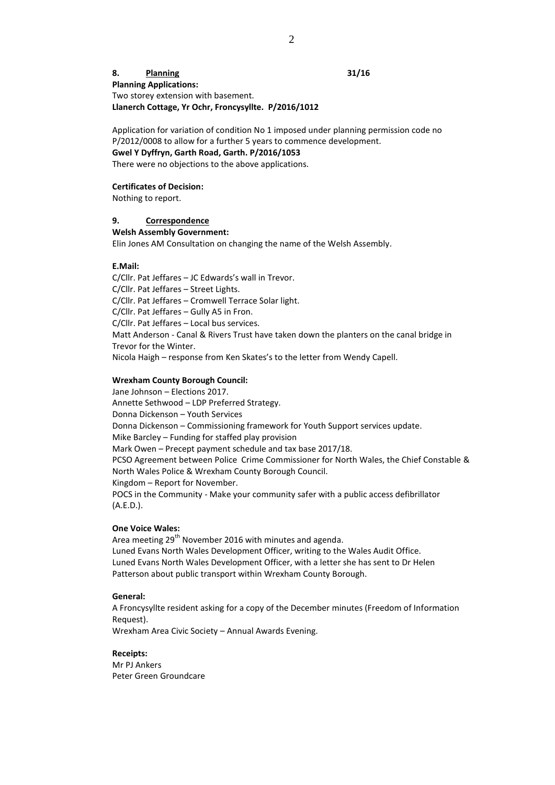# **8. Planning 31/16 Planning Applications:** Two storey extension with basement. **Llanerch Cottage, Yr Ochr, Froncysyllte. P/2016/1012**

Application for variation of condition No 1 imposed under planning permission code no P/2012/0008 to allow for a further 5 years to commence development. **Gwel Y Dyffryn, Garth Road, Garth. P/2016/1053**

There were no objections to the above applications.

## **Certificates of Decision:**

Nothing to report.

#### **9. Correspondence**

#### **Welsh Assembly Government:**

Elin Jones AM Consultation on changing the name of the Welsh Assembly.

#### **E.Mail:**

C/Cllr. Pat Jeffares – JC Edwards's wall in Trevor. C/Cllr. Pat Jeffares – Street Lights. C/Cllr. Pat Jeffares – Cromwell Terrace Solar light. C/Cllr. Pat Jeffares – Gully A5 in Fron. C/Cllr. Pat Jeffares – Local bus services. Matt Anderson - Canal & Rivers Trust have taken down the planters on the canal bridge in Trevor for the Winter. Nicola Haigh – response from Ken Skates's to the letter from Wendy Capell.

#### **Wrexham County Borough Council:**

Jane Johnson – Elections 2017. Annette Sethwood – LDP Preferred Strategy. Donna Dickenson – Youth Services Donna Dickenson – Commissioning framework for Youth Support services update. Mike Barcley – Funding for staffed play provision Mark Owen – Precept payment schedule and tax base 2017/18. PCSO Agreement between Police Crime Commissioner for North Wales, the Chief Constable & North Wales Police & Wrexham County Borough Council. Kingdom – Report for November. POCS in the Community - Make your community safer with a public access defibrillator (A.E.D.).

#### **One Voice Wales:**

Area meeting 29<sup>th</sup> November 2016 with minutes and agenda. Luned Evans North Wales Development Officer, writing to the Wales Audit Office. Luned Evans North Wales Development Officer, with a letter she has sent to Dr Helen Patterson about public transport within Wrexham County Borough.

## **General:**

A Froncysyllte resident asking for a copy of the December minutes (Freedom of Information Request).

Wrexham Area Civic Society – Annual Awards Evening.

#### **Receipts:**

Mr PJ Ankers Peter Green Groundcare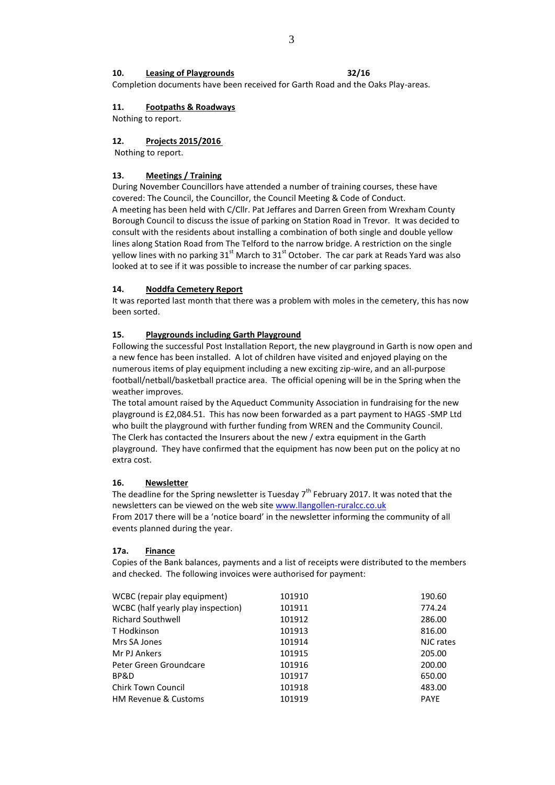## **10. Leasing of Playgrounds 32/16**

Completion documents have been received for Garth Road and the Oaks Play-areas.

## **11. Footpaths & Roadways**

Nothing to report.

## **12. Projects 2015/2016**

Nothing to report.

#### **13. Meetings / Training**

During November Councillors have attended a number of training courses, these have covered: The Council, the Councillor, the Council Meeting & Code of Conduct. A meeting has been held with C/Cllr. Pat Jeffares and Darren Green from Wrexham County Borough Council to discuss the issue of parking on Station Road in Trevor. It was decided to consult with the residents about installing a combination of both single and double yellow lines along Station Road from The Telford to the narrow bridge. A restriction on the single yellow lines with no parking  $31<sup>st</sup>$  March to  $31<sup>st</sup>$  October. The car park at Reads Yard was also looked at to see if it was possible to increase the number of car parking spaces.

#### **14. Noddfa Cemetery Report**

It was reported last month that there was a problem with moles in the cemetery, this has now been sorted.

#### **15. Playgrounds including Garth Playground**

Following the successful Post Installation Report, the new playground in Garth is now open and a new fence has been installed. A lot of children have visited and enjoyed playing on the numerous items of play equipment including a new exciting zip-wire, and an all-purpose football/netball/basketball practice area. The official opening will be in the Spring when the weather improves.

The total amount raised by the Aqueduct Community Association in fundraising for the new playground is £2,084.51. This has now been forwarded as a part payment to HAGS -SMP Ltd who built the playground with further funding from WREN and the Community Council. The Clerk has contacted the Insurers about the new / extra equipment in the Garth playground. They have confirmed that the equipment has now been put on the policy at no extra cost.

#### **16. Newsletter**

The deadline for the Spring newsletter is Tuesday  $7<sup>th</sup>$  February 2017. It was noted that the newsletters can be viewed on the web site [www.llangollen-ruralcc.co.uk](http://www.llangollen-ruralcc.co.uk/) From 2017 there will be a 'notice board' in the newsletter informing the community of all events planned during the year.

#### **17a. Finance**

Copies of the Bank balances, payments and a list of receipts were distributed to the members and checked. The following invoices were authorised for payment:

| WCBC (repair play equipment)       | 101910 | 190.60      |
|------------------------------------|--------|-------------|
| WCBC (half yearly play inspection) | 101911 | 774.24      |
| <b>Richard Southwell</b>           | 101912 | 286.00      |
| T Hodkinson                        | 101913 | 816.00      |
| Mrs SA Jones                       | 101914 | NJC rates   |
| Mr PJ Ankers                       | 101915 | 205.00      |
| Peter Green Groundcare             | 101916 | 200.00      |
| BP&D                               | 101917 | 650.00      |
| <b>Chirk Town Council</b>          | 101918 | 483.00      |
| <b>HM Revenue &amp; Customs</b>    | 101919 | <b>PAYE</b> |